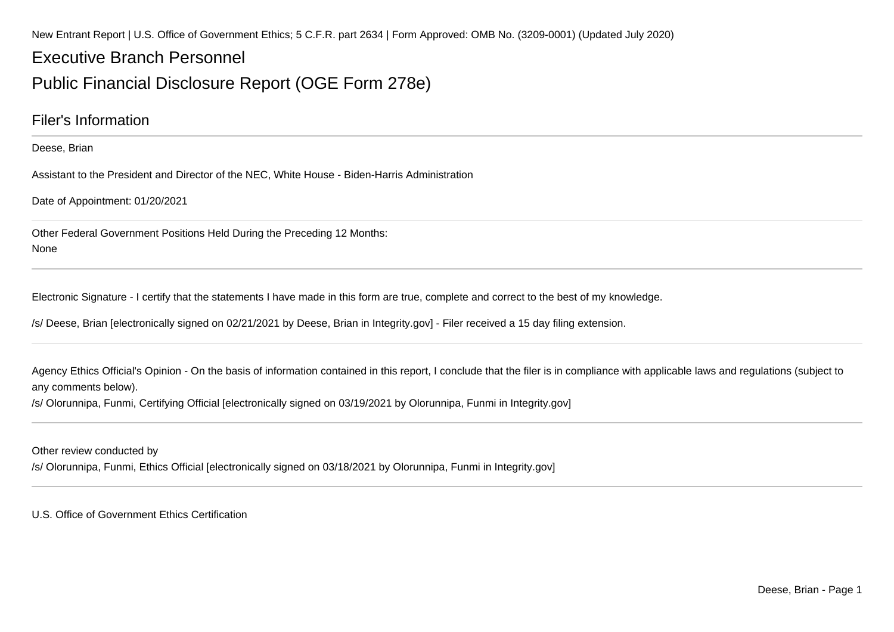New Entrant Report | U.S. Office of Government Ethics; 5 C.F.R. part 2634 | Form Approved: OMB No. (3209-0001) (Updated July 2020)

# Executive Branch PersonnelPublic Financial Disclosure Report (OGE Form 278e)

### Filer's Information

#### Deese, Brian

Assistant to the President and Director of the NEC, White House - Biden-Harris Administration

Date of Appointment: 01/20/2021

Other Federal Government Positions Held During the Preceding 12 Months:None

Electronic Signature - I certify that the statements I have made in this form are true, complete and correct to the best of my knowledge.

/s/ Deese, Brian [electronically signed on 02/21/2021 by Deese, Brian in Integrity.gov] - Filer received a 15 day filing extension.

Agency Ethics Official's Opinion - On the basis of information contained in this report, I conclude that the filer is in compliance with applicable laws and regulations (subject to any comments below).

/s/ Olorunnipa, Funmi, Certifying Official [electronically signed on 03/19/2021 by Olorunnipa, Funmi in Integrity.gov]

Other review conducted by

/s/ Olorunnipa, Funmi, Ethics Official [electronically signed on 03/18/2021 by Olorunnipa, Funmi in Integrity.gov]

U.S. Office of Government Ethics Certification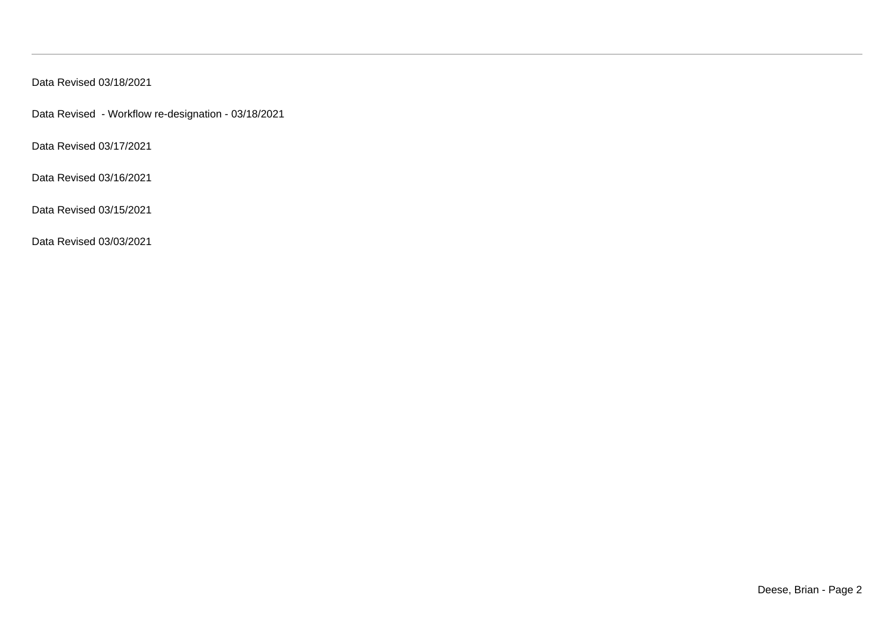Data Revised 03/18/2021

Data Revised - Workflow re-designation - 03/18/2021

Data Revised 03/17/2021

Data Revised 03/16/2021

Data Revised 03/15/2021

Data Revised 03/03/2021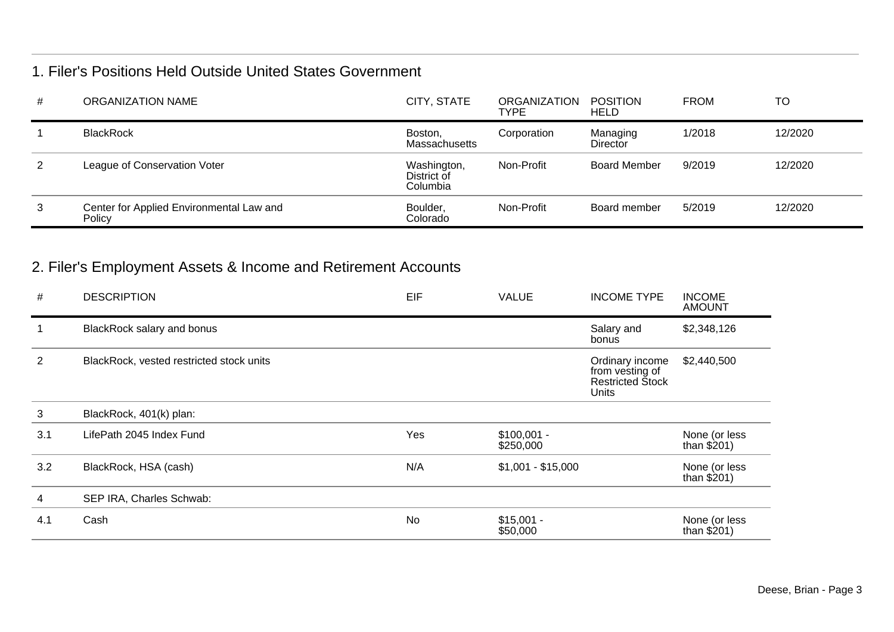### 1. Filer's Positions Held Outside United States Government

| # | ORGANIZATION NAME                                  | CITY, STATE                            | <b>ORGANIZATION</b><br><b>TYPE</b> | <b>POSITION</b><br><b>HELD</b> | <b>FROM</b> | TO      |
|---|----------------------------------------------------|----------------------------------------|------------------------------------|--------------------------------|-------------|---------|
|   | <b>BlackRock</b>                                   | Boston,<br><b>Massachusetts</b>        | Corporation                        | Managing<br>Director           | 1/2018      | 12/2020 |
| 2 | League of Conservation Voter                       | Washington,<br>District of<br>Columbia | Non-Profit                         | <b>Board Member</b>            | 9/2019      | 12/2020 |
| 3 | Center for Applied Environmental Law and<br>Policy | Boulder,<br>Colorado                   | Non-Profit                         | Board member                   | 5/2019      | 12/2020 |

## 2. Filer's Employment Assets & Income and Retirement Accounts

| #              | <b>DESCRIPTION</b>                       | EIF | <b>VALUE</b>              | <b>INCOME TYPE</b>                                                     | <b>INCOME</b><br><b>AMOUNT</b> |
|----------------|------------------------------------------|-----|---------------------------|------------------------------------------------------------------------|--------------------------------|
|                | BlackRock salary and bonus               |     |                           | Salary and<br>bonus                                                    | \$2,348,126                    |
| $\overline{2}$ | BlackRock, vested restricted stock units |     |                           | Ordinary income<br>from vesting of<br><b>Restricted Stock</b><br>Units | \$2,440,500                    |
| 3              | BlackRock, 401(k) plan:                  |     |                           |                                                                        |                                |
| 3.1            | LifePath 2045 Index Fund                 | Yes | $$100,001 -$<br>\$250,000 |                                                                        | None (or less<br>than $$201)$  |
| 3.2            | BlackRock, HSA (cash)                    | N/A | $$1,001 - $15,000$        |                                                                        | None (or less<br>than $$201)$  |
| 4              | SEP IRA, Charles Schwab:                 |     |                           |                                                                        |                                |
| 4.1            | Cash                                     | No  | $$15,001 -$<br>\$50,000   |                                                                        | None (or less<br>than $$201)$  |
|                |                                          |     |                           |                                                                        |                                |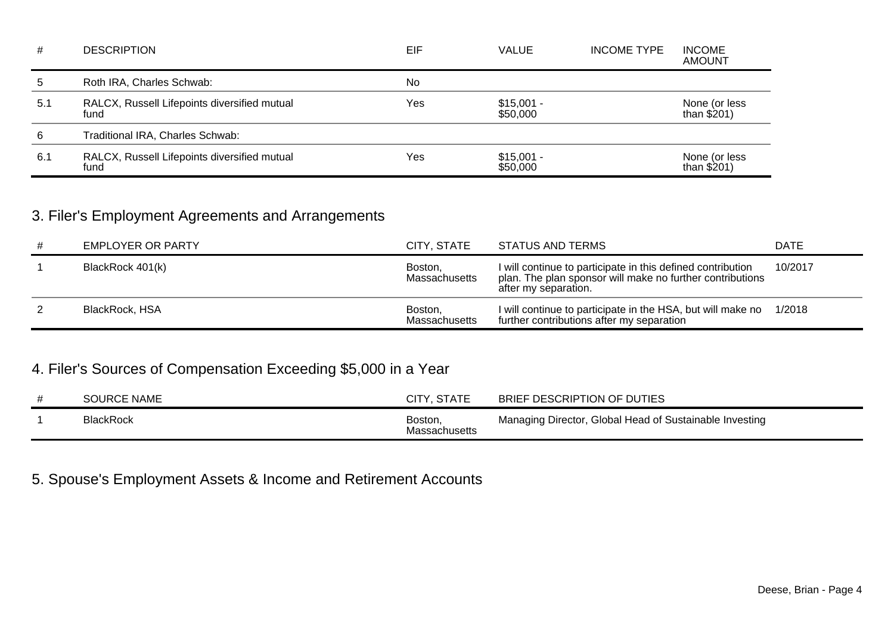| #    | <b>DESCRIPTION</b>                                   | EIF       | <b>VALUE</b>            | <b>INCOME TYPE</b> | <b>INCOME</b><br><b>AMOUNT</b> |
|------|------------------------------------------------------|-----------|-------------------------|--------------------|--------------------------------|
| 5    | Roth IRA, Charles Schwab:                            | <b>No</b> |                         |                    |                                |
| 5.1  | RALCX, Russell Lifepoints diversified mutual<br>fund | Yes       | $$15,001 -$<br>\$50,000 |                    | None (or less<br>than $$201)$  |
| 6    | Traditional IRA, Charles Schwab:                     |           |                         |                    |                                |
| -6.1 | RALCX, Russell Lifepoints diversified mutual<br>fund | Yes       | $$15,001 -$<br>\$50,000 |                    | None (or less<br>than $$201)$  |

### 3. Filer's Employment Agreements and Arrangements

| # | EMPLOYER OR PARTY | CITY, STATE              | STATUS AND TERMS                                                                                                                                 | <b>DATE</b> |
|---|-------------------|--------------------------|--------------------------------------------------------------------------------------------------------------------------------------------------|-------------|
|   | BlackRock 401(k)  | Boston,<br>Massachusetts | I will continue to participate in this defined contribution<br>plan. The plan sponsor will make no further contributions<br>after my separation. | 10/2017     |
|   | BlackRock, HSA    | Boston,<br>Massachusetts | I will continue to participate in the HSA, but will make no<br>further contributions after my separation                                         | 1/2018      |

### 4. Filer's Sources of Compensation Exceeding \$5,000 in a Year

| <b>SOURCE NAME</b> | <b>CITY, STATE</b>              | BRIEF DESCRIPTION OF DUTIES                             |
|--------------------|---------------------------------|---------------------------------------------------------|
| <b>BlackRock</b>   | Boston,<br><b>Massachusetts</b> | Managing Director, Global Head of Sustainable Investing |

## 5. Spouse's Employment Assets & Income and Retirement Accounts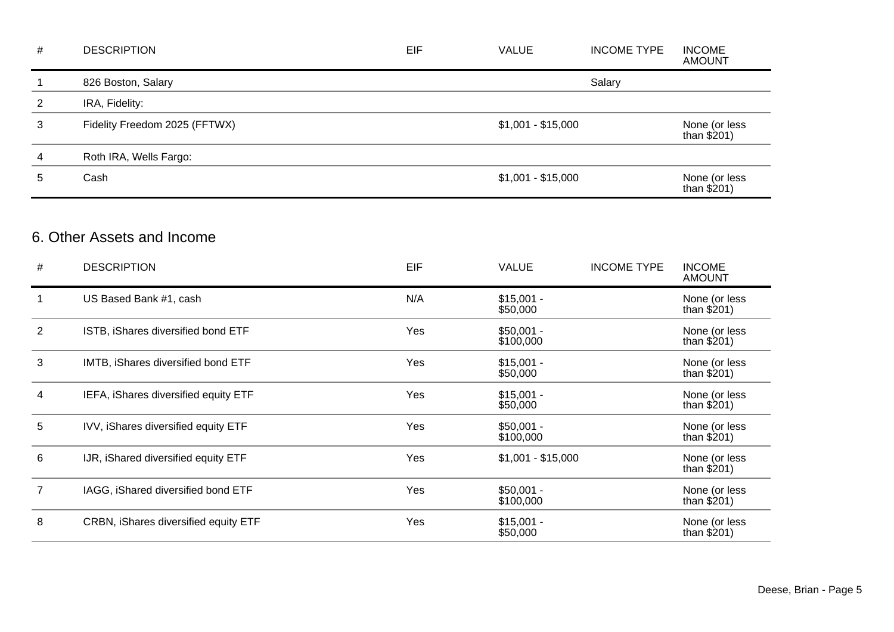| $\#$           | <b>DESCRIPTION</b>                               | EIF | <b>VALUE</b>             | <b>INCOME TYPE</b> | <b>INCOME</b><br><b>AMOUNT</b> |
|----------------|--------------------------------------------------|-----|--------------------------|--------------------|--------------------------------|
| $\mathbf{1}$   | 826 Boston, Salary                               |     |                          | Salary             |                                |
| $\overline{2}$ | IRA, Fidelity:                                   |     |                          |                    |                                |
| 3              | Fidelity Freedom 2025 (FFTWX)                    |     | $$1,001 - $15,000$       |                    | None (or less<br>than $$201)$  |
| 4              | Roth IRA, Wells Fargo:                           |     |                          |                    |                                |
| 5              | Cash                                             |     | $$1,001 - $15,000$       |                    | None (or less<br>than $$201)$  |
| #              | 6. Other Assets and Income<br><b>DESCRIPTION</b> | EIF | <b>VALUE</b>             | <b>INCOME TYPE</b> | <b>INCOME</b><br><b>AMOUNT</b> |
| $\mathbf{1}$   | US Based Bank #1, cash                           | N/A | $$15,001 -$              |                    | None (or less                  |
|                |                                                  |     | \$50,000                 |                    | than $$201)$                   |
| $\overline{2}$ | ISTB, iShares diversified bond ETF               | Yes | $$50,001 -$<br>\$100,000 |                    | None (or less<br>than $$201)$  |
| 3              | IMTB, iShares diversified bond ETF               | Yes | $$15,001 -$<br>\$50,000  |                    | None (or less<br>than $$201)$  |
| 4              | IEFA, iShares diversified equity ETF             | Yes | $$15,001 -$<br>\$50,000  |                    | None (or less<br>than $$201)$  |
| 5              | IVV, iShares diversified equity ETF              | Yes | $$50,001 -$<br>\$100,000 |                    | None (or less<br>than $$201)$  |
| 6              | IJR, iShared diversified equity ETF              | Yes | $$1,001 - $15,000$       |                    | None (or less<br>than $$201)$  |
| $\overline{7}$ | IAGG, iShared diversified bond ETF               | Yes | $$50,001 -$<br>\$100,000 |                    | None (or less<br>than $$201)$  |
| 8              | CRBN, iShares diversified equity ETF             | Yes | $$15,001 -$<br>\$50,000  |                    | None (or less<br>than $$201)$  |
|                |                                                  |     |                          |                    |                                |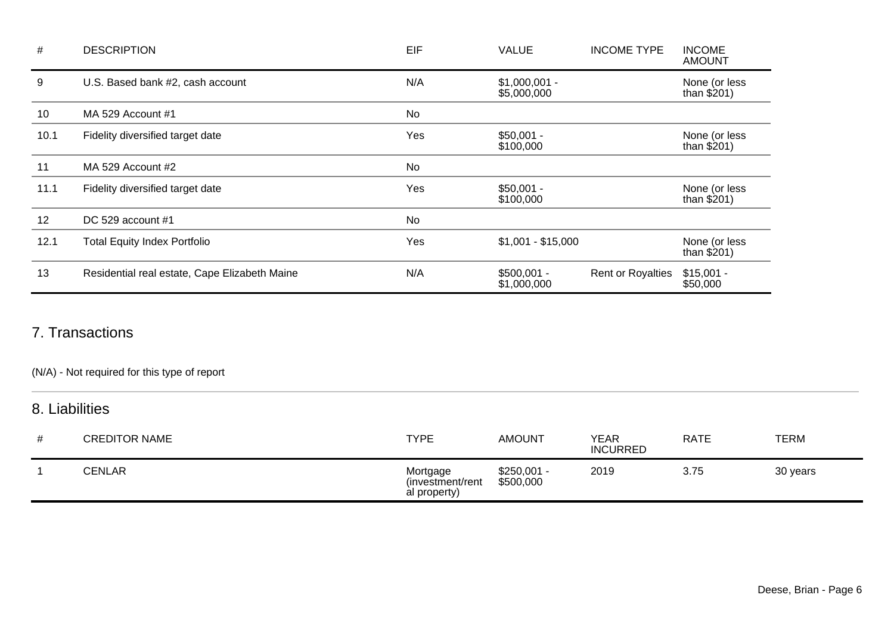| #    | <b>DESCRIPTION</b>                            | EIF | <b>VALUE</b>                  | <b>INCOME TYPE</b>       | <b>INCOME</b><br><b>AMOUNT</b> |
|------|-----------------------------------------------|-----|-------------------------------|--------------------------|--------------------------------|
| 9    | U.S. Based bank #2, cash account              | N/A | $$1,000,001 -$<br>\$5,000,000 |                          | None (or less<br>than $$201)$  |
| 10   | MA 529 Account #1                             | No  |                               |                          |                                |
| 10.1 | Fidelity diversified target date              | Yes | $$50,001 -$<br>\$100,000      |                          | None (or less<br>than $$201)$  |
| 11   | MA 529 Account #2                             | No  |                               |                          |                                |
| 11.1 | Fidelity diversified target date              | Yes | $$50,001 -$<br>\$100,000      |                          | None (or less<br>than $$201)$  |
| 12   | DC 529 account $#1$                           | No  |                               |                          |                                |
| 12.1 | <b>Total Equity Index Portfolio</b>           | Yes | $$1,001 - $15,000$            |                          | None (or less<br>than $$201)$  |
| 13   | Residential real estate, Cape Elizabeth Maine | N/A | $$500,001 -$<br>\$1,000,000   | <b>Rent or Royalties</b> | $$15,001 -$<br>\$50,000        |

### 7. Transactions

(N/A) - Not required for this type of report

### 8. Liabilities

| # | <b>CREDITOR NAME</b> | <b>TYPE</b>                                  | <b>AMOUNT</b>             | YEAR<br><b>INCURRED</b> | <b>RATE</b> | <b>TERM</b> |
|---|----------------------|----------------------------------------------|---------------------------|-------------------------|-------------|-------------|
|   | <b>CENLAR</b>        | Mortgage<br>(investment/rent<br>al property) | $$250,001 -$<br>\$500,000 | 2019                    | 3.75        | 30 years    |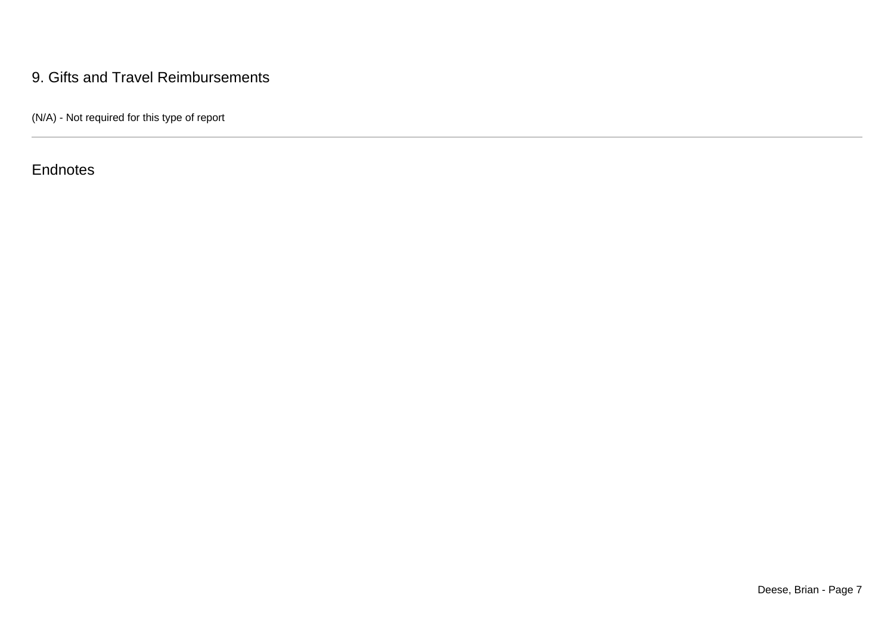### 9. Gifts and Travel Reimbursements

(N/A) - Not required for this type of report

**Endnotes**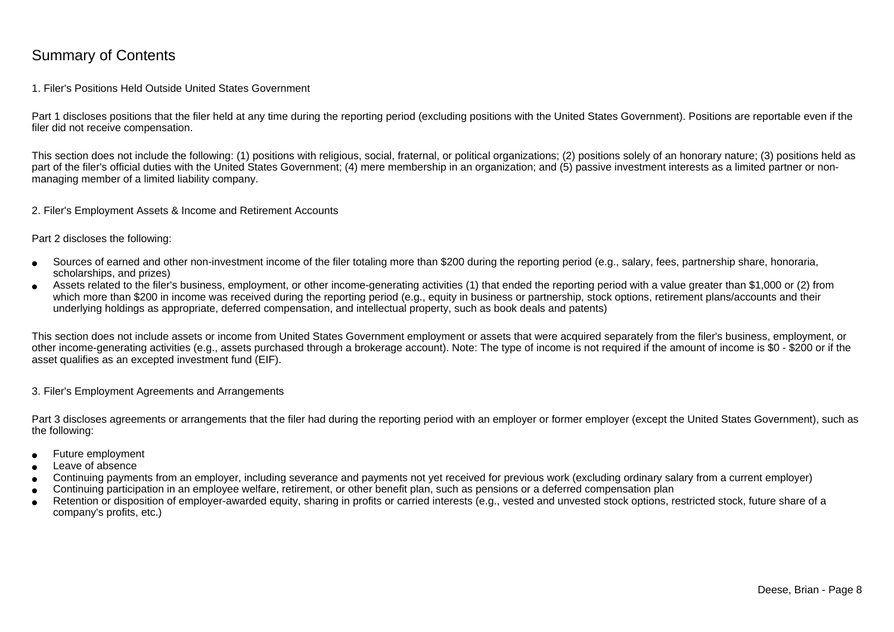### Summary of Contents

#### 1. Filer's Positions Held Outside United States Government

Part 1 discloses positions that the filer held at any time during the reporting period (excluding positions with the United States Government). Positions are reportable even if the filer did not receive compensation.

This section does not include the following: (1) positions with religious, social, fraternal, or political organizations; (2) positions solely of an honorary nature; (3) positions held aspart of the filer's official duties with the United States Government; (4) mere membership in an organization; and (5) passive investment interests as a limited partner or nonmanaging member of a limited liability company.

2. Filer's Employment Assets & Income and Retirement Accounts

Part 2 discloses the following:

- ●Sources of earned and other non-investment income of the filer totaling more than \$200 during the reporting period (e.g., salary, fees, partnership share, honoraria,scholarships, and prizes)
- ● Assets related to the filer's business, employment, or other income-generating activities (1) that ended the reporting period with a value greater than \$1,000 or (2) fromwhich more than \$200 in income was received during the reporting period (e.g., equity in business or partnership, stock options, retirement plans/accounts and their underlying holdings as appropriate, deferred compensation, and intellectual property, such as book deals and patents)

This section does not include assets or income from United States Government employment or assets that were acquired separately from the filer's business, employment, or other income-generating activities (e.g., assets purchased through a brokerage account). Note: The type of income is not required if the amount of income is \$0 - \$200 or if theasset qualifies as an excepted investment fund (EIF).

3. Filer's Employment Agreements and Arrangements

Part 3 discloses agreements or arrangements that the filer had during the reporting period with an employer or former employer (except the United States Government), such as the following:

- ●Future employment
- ●Leave of absence
- ●Continuing payments from an employer, including severance and payments not yet received for previous work (excluding ordinary salary from a current employer)
- ●Continuing participation in an employee welfare, retirement, or other benefit plan, such as pensions or a deferred compensation plan
- ● Retention or disposition of employer-awarded equity, sharing in profits or carried interests (e.g., vested and unvested stock options, restricted stock, future share of acompany's profits, etc.)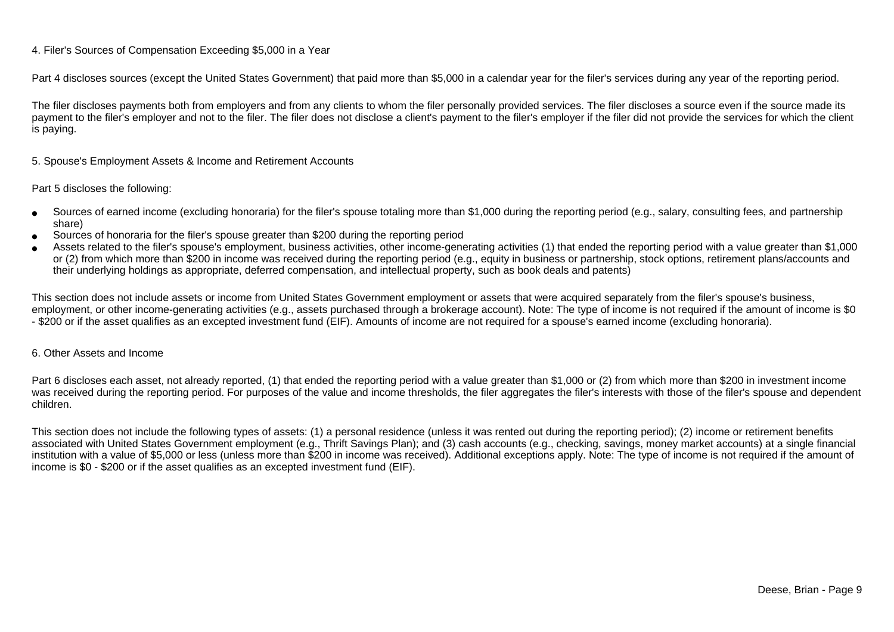#### 4. Filer's Sources of Compensation Exceeding \$5,000 in a Year

Part 4 discloses sources (except the United States Government) that paid more than \$5,000 in a calendar year for the filer's services during any year of the reporting period.

The filer discloses payments both from employers and from any clients to whom the filer personally provided services. The filer discloses a source even if the source made itspayment to the filer's employer and not to the filer. The filer does not disclose a client's payment to the filer's employer if the filer did not provide the services for which the client is paying.

5. Spouse's Employment Assets & Income and Retirement Accounts

#### Part 5 discloses the following:

- ●Sources of earned income (excluding honoraria) for the filer's spouse totaling more than \$1,000 during the reporting period (e.g., salary, consulting fees, and partnershipshare)
- ●Sources of honoraria for the filer's spouse greater than \$200 during the reporting period
- ● Assets related to the filer's spouse's employment, business activities, other income-generating activities (1) that ended the reporting period with a value greater than \$1,000or (2) from which more than \$200 in income was received during the reporting period (e.g., equity in business or partnership, stock options, retirement plans/accounts and their underlying holdings as appropriate, deferred compensation, and intellectual property, such as book deals and patents)

This section does not include assets or income from United States Government employment or assets that were acquired separately from the filer's spouse's business,employment, or other income-generating activities (e.g., assets purchased through a brokerage account). Note: The type of income is not required if the amount of income is \$0 - \$200 or if the asset qualifies as an excepted investment fund (EIF). Amounts of income are not required for a spouse's earned income (excluding honoraria).

#### 6. Other Assets and Income

Part 6 discloses each asset, not already reported, (1) that ended the reporting period with a value greater than \$1,000 or (2) from which more than \$200 in investment income was received during the reporting period. For purposes of the value and income thresholds, the filer aggregates the filer's interests with those of the filer's spouse and dependentchildren.

This section does not include the following types of assets: (1) a personal residence (unless it was rented out during the reporting period); (2) income or retirement benefits associated with United States Government employment (e.g., Thrift Savings Plan); and (3) cash accounts (e.g., checking, savings, money market accounts) at a single financial institution with a value of \$5,000 or less (unless more than \$200 in income was received). Additional exceptions apply. Note: The type of income is not required if the amount ofincome is \$0 - \$200 or if the asset qualifies as an excepted investment fund (EIF).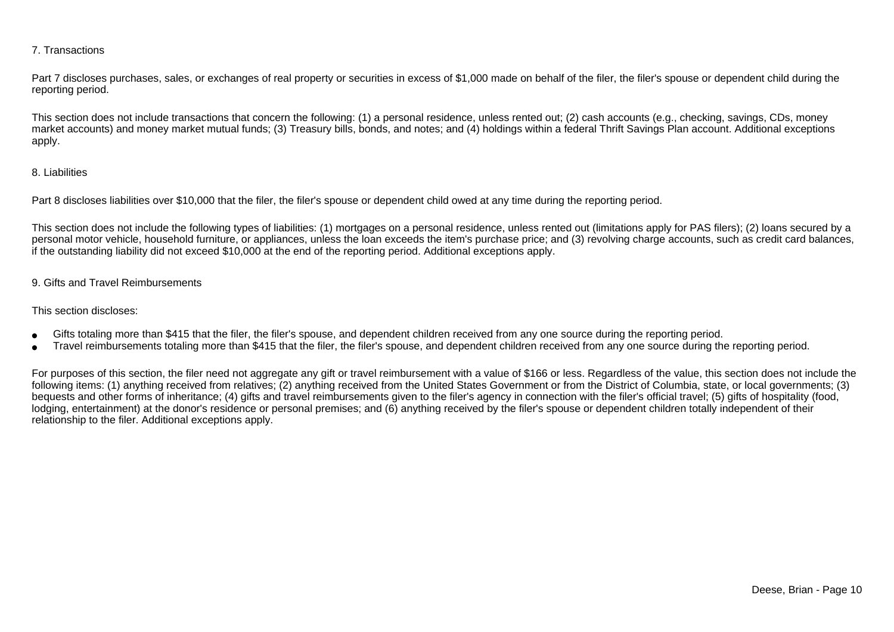#### 7. Transactions

Part 7 discloses purchases, sales, or exchanges of real property or securities in excess of \$1,000 made on behalf of the filer, the filer's spouse or dependent child during the reporting period.

This section does not include transactions that concern the following: (1) a personal residence, unless rented out; (2) cash accounts (e.g., checking, savings, CDs, money market accounts) and money market mutual funds; (3) Treasury bills, bonds, and notes; and (4) holdings within a federal Thrift Savings Plan account. Additional exceptionsapply.

#### 8. Liabilities

Part 8 discloses liabilities over \$10,000 that the filer, the filer's spouse or dependent child owed at any time during the reporting period.

This section does not include the following types of liabilities: (1) mortgages on a personal residence, unless rented out (limitations apply for PAS filers); (2) loans secured by a personal motor vehicle, household furniture, or appliances, unless the loan exceeds the item's purchase price; and (3) revolving charge accounts, such as credit card balances,if the outstanding liability did not exceed \$10,000 at the end of the reporting period. Additional exceptions apply.

#### 9. Gifts and Travel Reimbursements

#### This section discloses:

- ●Gifts totaling more than \$415 that the filer, the filer's spouse, and dependent children received from any one source during the reporting period.
- ●Travel reimbursements totaling more than \$415 that the filer, the filer's spouse, and dependent children received from any one source during the reporting period.

For purposes of this section, the filer need not aggregate any gift or travel reimbursement with a value of \$166 or less. Regardless of the value, this section does not include the following items: (1) anything received from relatives; (2) anything received from the United States Government or from the District of Columbia, state, or local governments; (3)bequests and other forms of inheritance; (4) gifts and travel reimbursements given to the filer's agency in connection with the filer's official travel; (5) gifts of hospitality (food,lodging, entertainment) at the donor's residence or personal premises; and (6) anything received by the filer's spouse or dependent children totally independent of theirrelationship to the filer. Additional exceptions apply.